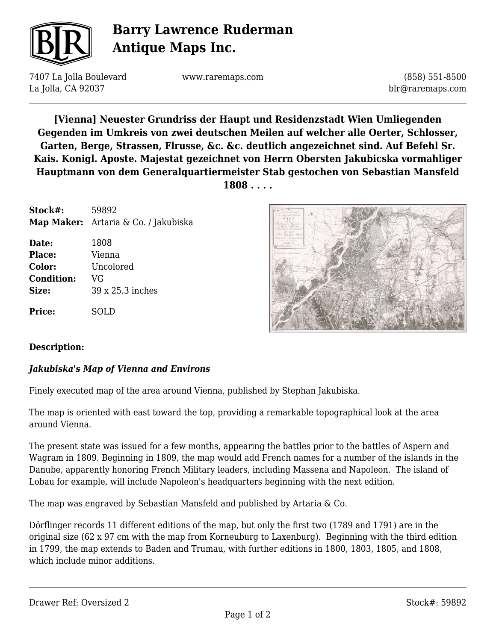

# **Barry Lawrence Ruderman Antique Maps Inc.**

7407 La Jolla Boulevard La Jolla, CA 92037

www.raremaps.com

(858) 551-8500 blr@raremaps.com

**[Vienna] Neuester Grundriss der Haupt und Residenzstadt Wien Umliegenden Gegenden im Umkreis von zwei deutschen Meilen auf welcher alle Oerter, Schlosser, Garten, Berge, Strassen, Flrusse, &c. &c. deutlich angezeichnet sind. Auf Befehl Sr. Kais. Konigl. Aposte. Majestat gezeichnet von Herrn Obersten Jakubicska vormahliger Hauptmann von dem Generalquartiermeister Stab gestochen von Sebastian Mansfeld 1808 . . . .**

| Stock#:           | 59892<br>Map Maker: Artaria & Co. / Jakubiska |
|-------------------|-----------------------------------------------|
| Date:             | 1808                                          |
| Place:            | Vienna                                        |
| Color:            | Uncolored                                     |
| <b>Condition:</b> | VG                                            |
| Size:             | 39 x 25.3 inches                              |
| Price:            | SOLD                                          |



#### **Description:**

#### *Jakubiska's Map of Vienna and Environs*

Finely executed map of the area around Vienna, published by Stephan Jakubiska.

The map is oriented with east toward the top, providing a remarkable topographical look at the area around Vienna.

The present state was issued for a few months, appearing the battles prior to the battles of Aspern and Wagram in 1809. Beginning in 1809, the map would add French names for a number of the islands in the Danube, apparently honoring French Military leaders, including Massena and Napoleon. The island of Lobau for example, will include Napoleon's headquarters beginning with the next edition.

The map was engraved by Sebastian Mansfeld and published by Artaria & Co.

Dörflinger records 11 different editions of the map, but only the first two (1789 and 1791) are in the original size (62 x 97 cm with the map from Korneuburg to Laxenburg). Beginning with the third edition in 1799, the map extends to Baden and Trumau, with further editions in 1800, 1803, 1805, and 1808, which include minor additions.